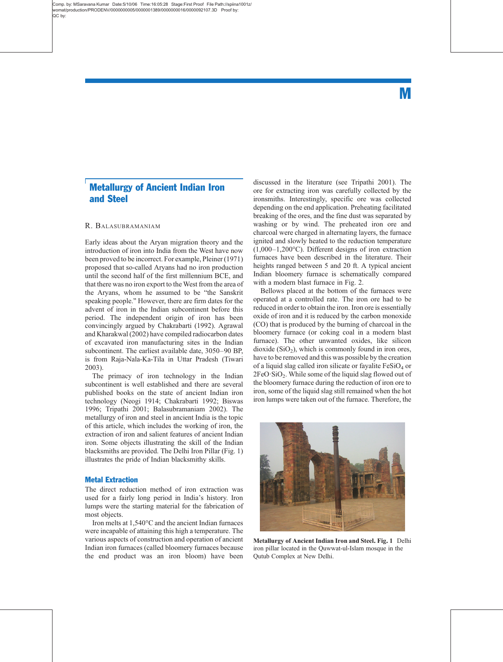Comp. by: MSaravana Kumar Date:5/10/06 Time:16:05:28 Stage:First Proof File Path://spiina1001z/ womat/production/PRODENV/0000000005/0000001389/0000000016/0000092107.3D Proof by:

QC by:

# M

# Metallurgy of Ancient Indian Iron and Steel

R. BALASUBRAMANIAM

Early ideas about the Aryan migration theory and the introduction of iron into India from the West have now been proved to be incorrect. For example, Pleiner (1971) proposed that so-called Aryans had no iron production until the second half of the first millennium BCE, and that there was no iron export to the West from the area of the Aryans, whom he assumed to be "the Sanskrit speaking people." However, there are firm dates for the advent of iron in the Indian subcontinent before this period. The independent origin of iron has been convincingly argued by Chakrabarti (1992). Agrawal and Kharakwal (2002) have compiled radiocarbon dates of excavated iron manufacturing sites in the Indian subcontinent. The earliest available date, 3050–90 BP, is from Raja-Nala-Ka-Tila in Uttar Pradesh (Tiwari 2003).

The primacy of iron technology in the Indian subcontinent is well established and there are several published books on the state of ancient Indian iron technology (Neogi 1914; Chakrabarti 1992; Biswas 1996; Tripathi 2001; Balasubramaniam 2002). The metallurgy of iron and steel in ancient India is the topic of this article, which includes the working of iron, the extraction of iron and salient features of ancient Indian iron. Some objects illustrating the skill of the Indian blacksmiths are provided. The Delhi Iron Pillar (Fig. 1) illustrates the pride of Indian blacksmithy skills.

# Metal Extraction

The direct reduction method of iron extraction was used for a fairly long period in India's history. Iron lumps were the starting material for the fabrication of most objects.

Iron melts at 1,540°C and the ancient Indian furnaces were incapable of attaining this high a temperature. The various aspects of construction and operation of ancient Indian iron furnaces (called bloomery furnaces because the end product was an iron bloom) have been

discussed in the literature (see Tripathi 2001). The ore for extracting iron was carefully collected by the ironsmiths. Interestingly, specific ore was collected depending on the end application. Preheating facilitated breaking of the ores, and the fine dust was separated by washing or by wind. The preheated iron ore and charcoal were charged in alternating layers, the furnace ignited and slowly heated to the reduction temperature (1,000–1,200°C). Different designs of iron extraction furnaces have been described in the literature. Their heights ranged between 5 and 20 ft. A typical ancient Indian bloomery furnace is schematically compared with a modern blast furnace in Fig. 2.

Bellows placed at the bottom of the furnaces were operated at a controlled rate. The iron ore had to be reduced in order to obtain the iron. Iron ore is essentially oxide of iron and it is reduced by the carbon monoxide (CO) that is produced by the burning of charcoal in the bloomery furnace (or coking coal in a modern blast furnace). The other unwanted oxides, like silicon dioxide  $(SiO<sub>2</sub>)$ , which is commonly found in iron ores, have to be removed and this was possible by the creation of a liquid slag called iron silicate or fayalite  $FeSiO<sub>4</sub>$  or  $2FeO·SiO<sub>2</sub>$ . While some of the liquid slag flowed out of the bloomery furnace during the reduction of iron ore to iron, some of the liquid slag still remained when the hot iron lumps were taken out of the furnace. Therefore, the



Metallurgy of Ancient Indian Iron and Steel. Fig. 1 Delhi iron pillar located in the Quwwat-ul-Islam mosque in the Qutub Complex at New Delhi.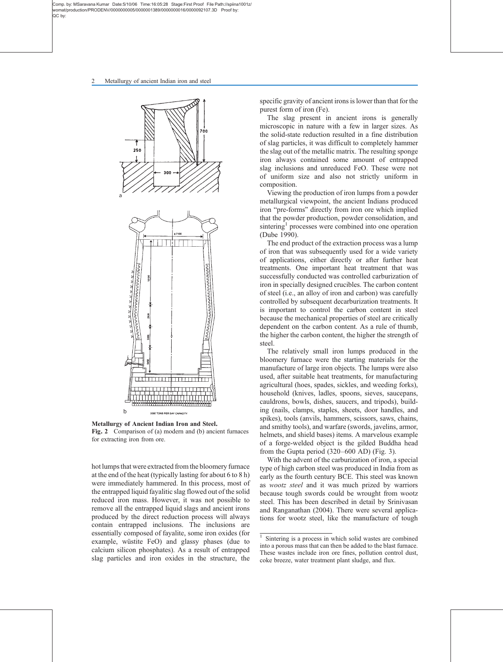

Metallurgy of Ancient Indian Iron and Steel. Fig. 2 Comparison of (a) modern and (b) ancient furnaces for extracting iron from ore.

hot lumps that were extracted from the bloomery furnace at the end of the heat (typically lasting for about 6 to 8 h) were immediately hammered. In this process, most of the entrapped liquid fayalitic slag flowed out of the solid reduced iron mass. However, it was not possible to remove all the entrapped liquid slags and ancient irons produced by the direct reduction process will always contain entrapped inclusions. The inclusions are essentially composed of fayalite, some iron oxides (for example, wüstite FeO) and glassy phases (due to calcium silicon phosphates). As a result of entrapped slag particles and iron oxides in the structure, the

specific gravity of ancient irons is lower than that for the purest form of iron (Fe).

The slag present in ancient irons is generally microscopic in nature with a few in larger sizes. As the solid-state reduction resulted in a fine distribution of slag particles, it was difficult to completely hammer the slag out of the metallic matrix. The resulting sponge iron always contained some amount of entrapped slag inclusions and unreduced FeO. These were not of uniform size and also not strictly uniform in composition.

Viewing the production of iron lumps from a powder metallurgical viewpoint, the ancient Indians produced iron "pre-forms" directly from iron ore which implied that the powder production, powder consolidation, and sintering<sup>1</sup> processes were combined into one operation (Dube 1990).

The end product of the extraction process was a lump of iron that was subsequently used for a wide variety of applications, either directly or after further heat treatments. One important heat treatment that was successfully conducted was controlled carburization of iron in specially designed crucibles. The carbon content of steel (i.e., an alloy of iron and carbon) was carefully controlled by subsequent decarburization treatments. It is important to control the carbon content in steel because the mechanical properties of steel are critically dependent on the carbon content. As a rule of thumb, the higher the carbon content, the higher the strength of steel.

The relatively small iron lumps produced in the bloomery furnace were the starting materials for the manufacture of large iron objects. The lumps were also used, after suitable heat treatments, for manufacturing agricultural (hoes, spades, sickles, and weeding forks), household (knives, ladles, spoons, sieves, saucepans, cauldrons, bowls, dishes, saucers, and tripods), building (nails, clamps, staples, sheets, door handles, and spikes), tools (anvils, hammers, scissors, saws, chains, and smithy tools), and warfare (swords, javelins, armor, helmets, and shield bases) items. A marvelous example of a forge-welded object is the gilded Buddha head from the Gupta period (320–600 AD) (Fig. 3).

With the advent of the carburization of iron, a special type of high carbon steel was produced in India from as early as the fourth century BCE. This steel was known as wootz steel and it was much prized by warriors because tough swords could be wrought from wootz steel. This has been described in detail by Srinivasan and Ranganathan (2004). There were several applications for wootz steel, like the manufacture of tough

<sup>&</sup>lt;sup>1</sup> Sintering is a process in which solid wastes are combined into a porous mass that can then be added to the blast furnace. These wastes include iron ore fines, pollution control dust, coke breeze, water treatment plant sludge, and flux.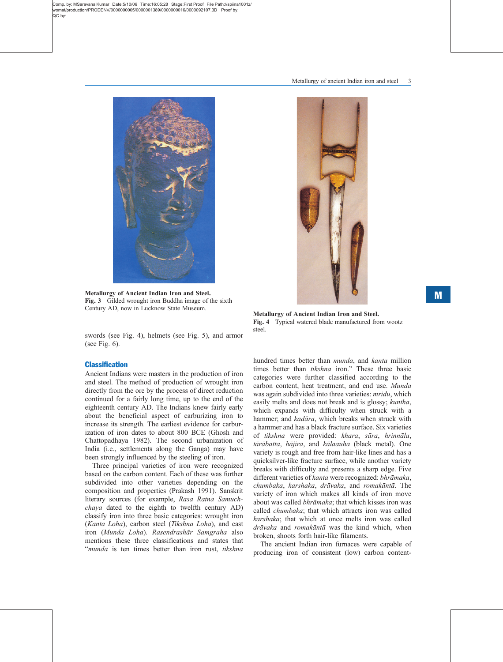

Metallurgy of Ancient Indian Iron and Steel. Fig. 3 Gilded wrought iron Buddha image of the sixth Century AD, now in Lucknow State Museum.

swords (see Fig. 4), helmets (see Fig. 5), and armor (see Fig. 6).

# **Classification**

Ancient Indians were masters in the production of iron and steel. The method of production of wrought iron directly from the ore by the process of direct reduction continued for a fairly long time, up to the end of the eighteenth century AD. The Indians knew fairly early about the beneficial aspect of carburizing iron to increase its strength. The earliest evidence for carburization of iron dates to about 800 BCE (Ghosh and Chattopadhaya 1982). The second urbanization of India (i.e., settlements along the Ganga) may have been strongly influenced by the steeling of iron.

Three principal varieties of iron were recognized based on the carbon content. Each of these was further subdivided into other varieties depending on the composition and properties (Prakash 1991). Sanskrit literary sources (for example, Rasa Ratna Samuchchaya dated to the eighth to twelfth century AD) classify iron into three basic categories: wrought iron (Kanta Loha), carbon steel (Tikshna Loha), and cast iron (Munda Loha). Rasendrashār Samgraha also mentions these three classifications and states that "munda is ten times better than iron rust, tikshna



M

Metallurgy of Ancient Indian Iron and Steel. Fig. 4 Typical watered blade manufactured from wootz steel.

hundred times better than munda, and kanta million times better than tikshna iron." These three basic categories were further classified according to the carbon content, heat treatment, and end use. Munda was again subdivided into three varieties: mridu, which easily melts and does not break and is glossy; kuntha, which expands with difficulty when struck with a hammer; and kadāra, which breaks when struck with a hammer and has a black fracture surface. Six varieties of tikshna were provided: khara, sāra, hrinnāla, tārābatta, bājira, and kālaauha (black metal). One variety is rough and free from hair-like lines and has a quicksilver-like fracture surface, while another variety breaks with difficulty and presents a sharp edge. Five different varieties of kanta were recognized: bhrāmaka, chumbaka, karshaka, drāvaka, and romakāntā. The variety of iron which makes all kinds of iron move about was called bhrāmaka; that which kisses iron was called chumbaka; that which attracts iron was called karshaka; that which at once melts iron was called drāvaka and romakāntā was the kind which, when broken, shoots forth hair-like filaments.

The ancient Indian iron furnaces were capable of producing iron of consistent (low) carbon content-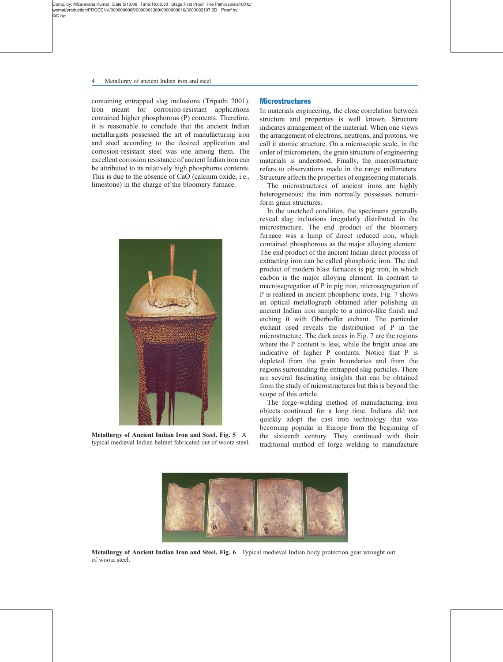Comp. by: MSaravana Kumar Date:5/10/06 Time:16:05:30 Stage:First Proof File Path://spiina1001z/ womat/production/PRODENV/0000000005/0000001389/0000000016/0000092107.3D Proof by: QC by:

#### Metallurgy of ancient Indian iron and steel

containing entrapped slag inclusions (Tripathi 2001). Iron meant for corrosion-resistant applications contained higher phosphorous (P) contents. Therefore, it is reasonable to conclude that the ancient Indian metallurgists possessed the art of manufacturing iron and steel according to the desired application and corrosion-resistant steel was one among them. The excellent corrosion resistance of ancient Indian iron can be attributed to its relatively high phosphorus contents. This is due to the absence of CaO (calcium oxide, i.e., limestone) in the charge of the bloomery furnace.



Metallurgy of Ancient Indian Iron and Steel. Fig. 5 A typical medieval Indian helmet fabricated out of wootz steel.

# **Microstructures**

In materials engineering, the close correlation between structure and properties is well known. Structure indicates arrangement of the material. When one views the arrangement of electrons, neutrons, and protons, we call it atomic structure. On a microscopic scale, in the order of micrometers, the grain structure of engineering materials is understood. Finally, the macrostructure refers to observations made in the range millimeters. Structure affects the properties of engineering materials.

The microstructures of ancient irons are highly heterogeneous; the iron normally possesses nonuniform grain structures.

In the unetched condition, the specimens generally reveal slag inclusions irregularly distributed in the microstructure. The end product of the bloomery furnace was a lump of direct reduced iron, which contained phosphorous as the major alloying element. The end product of the ancient Indian direct process of extracting iron can be called phosphoric iron. The end product of modern blast furnaces is pig iron, in which carbon is the major alloying element. In contrast to macrosegregation of P in pig iron, microsegregation of P is realized in ancient phosphoric irons. Fig. 7 shows an optical metallograph obtained after polishing an ancient Indian iron sample to a mirror-like finish and etching it with Oberhoffer etchant. The particular etchant used reveals the distribution of P in the microstructure. The dark areas in Fig. 7 are the regions where the P content is less, while the bright areas are indicative of higher P contents. Notice that P is depleted from the grain boundaries and from the regions surrounding the entrapped slag particles. There are several fascinating insights that can be obtained from the study of microstructures but this is beyond the scope of this article.

The forge-welding method of manufacturing iron objects continued for a long time. Indians did not quickly adopt the cast iron technology that was becoming popular in Europe from the beginning of the sixteenth century. They continued with their traditional method of forge welding to manufacture



Metallurgy of Ancient Indian Iron and Steel. Fig. 6 Typical medieval Indian body protection gear wrought out of wootz steel.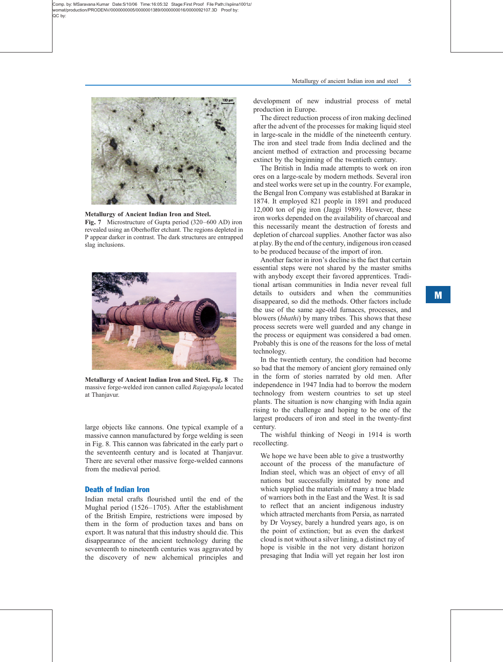

#### Metallurgy of Ancient Indian Iron and Steel.

Fig. 7 Microstructure of Gupta period (320–600 AD) iron revealed using an Oberhoffer etchant. The regions depleted in P appear darker in contrast. The dark structures are entrapped slag inclusions.



Metallurgy of Ancient Indian Iron and Steel. Fig. 8 The massive forge-welded iron cannon called Rajagopala located at Thanjavur.

large objects like cannons. One typical example of a massive cannon manufactured by forge welding is seen in Fig. 8. This cannon was fabricated in the early part o the seventeenth century and is located at Thanjavur. There are several other massive forge-welded cannons from the medieval period.

### Death of Indian Iron

Indian metal crafts flourished until the end of the Mughal period (1526–1705). After the establishment of the British Empire, restrictions were imposed by them in the form of production taxes and bans on export. It was natural that this industry should die. This disappearance of the ancient technology during the seventeenth to nineteenth centuries was aggravated by the discovery of new alchemical principles and

development of new industrial process of metal production in Europe.

The direct reduction process of iron making declined after the advent of the processes for making liquid steel in large-scale in the middle of the nineteenth century. The iron and steel trade from India declined and the ancient method of extraction and processing became extinct by the beginning of the twentieth century.

The British in India made attempts to work on iron ores on a large-scale by modern methods. Several iron and steel works were set up in the country. For example, the Bengal Iron Company was established at Barakar in 1874. It employed 821 people in 1891 and produced 12,000 ton of pig iron (Jaggi 1989). However, these iron works depended on the availability of charcoal and this necessarily meant the destruction of forests and depletion of charcoal supplies. Another factor was also at play. By the end of the century, indigenous iron ceased to be produced because of the import of iron.

Another factor in iron's decline is the fact that certain essential steps were not shared by the master smiths with anybody except their favored apprentices. Traditional artisan communities in India never reveal full details to outsiders and when the communities disappeared, so did the methods. Other factors include the use of the same age-old furnaces, processes, and blowers (bhathi) by many tribes. This shows that these process secrets were well guarded and any change in the process or equipment was considered a bad omen. Probably this is one of the reasons for the loss of metal technology.

In the twentieth century, the condition had become so bad that the memory of ancient glory remained only in the form of stories narrated by old men. After independence in 1947 India had to borrow the modern technology from western countries to set up steel plants. The situation is now changing with India again rising to the challenge and hoping to be one of the largest producers of iron and steel in the twenty-first century.

The wishful thinking of Neogi in 1914 is worth recollecting.

We hope we have been able to give a trustworthy account of the process of the manufacture of Indian steel, which was an object of envy of all nations but successfully imitated by none and which supplied the materials of many a true blade of warriors both in the East and the West. It is sad to reflect that an ancient indigenous industry which attracted merchants from Persia, as narrated by Dr Voysey, barely a hundred years ago, is on the point of extinction; but as even the darkest cloud is not without a silver lining, a distinct ray of hope is visible in the not very distant horizon presaging that India will yet regain her lost iron